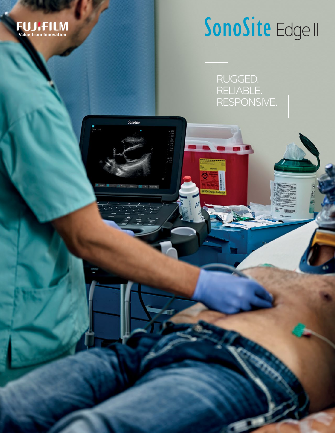

## SonoSite Edge II

RUGGED. RELIABLE. RESPONSIVE.

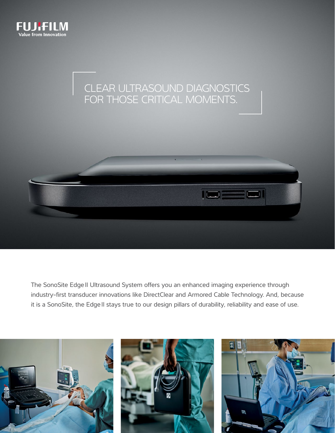



The SonoSite EdgeII Ultrasound System offers you an enhanced imaging experience through industry-first transducer innovations like DirectClear and Armored Cable Technology. And, because it is a SonoSite, the Edge II stays true to our design pillars of durability, reliability and ease of use.

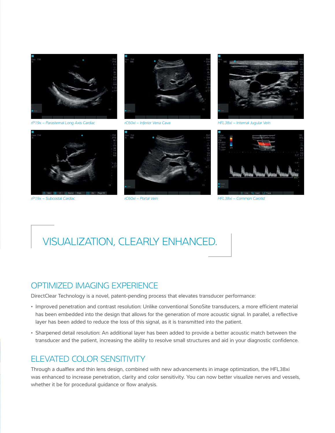

*rP19x – Subcostal Cardiac*

*rC60xi – Portal Vein HFL38xi – Common Carotid*

## VISUALIZATION, CLEARLY ENHANCED.

## OPTIMIZED IMAGING EXPERIENCE

DirectClear Technology is a novel, patent-pending process that elevates transducer performance:

- Improved penetration and contrast resolution: Unlike conventional SonoSite transducers, a more efficient material has been embedded into the design that allows for the generation of more acoustic signal. In parallel, a reflective layer has been added to reduce the loss of this signal, as it is transmitted into the patient.
- Sharpened detail resolution: An additional layer has been added to provide a better acoustic match between the transducer and the patient, increasing the ability to resolve small structures and aid in your diagnostic confidence.

### ELEVATED COLOR SENSITIVITY

Through a dualflex and thin lens design, combined with new advancements in image optimization, the HFL38xi was enhanced to increase penetration, clarity and color sensitivity. You can now better visualize nerves and vessels, whether it be for procedural guidance or flow analysis.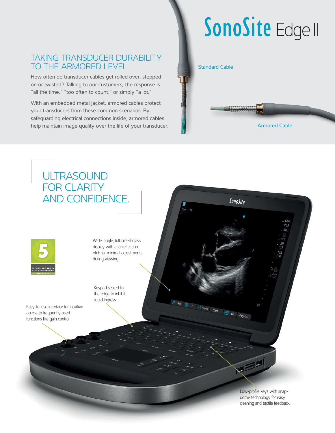## SonoSite Edge II

## TAKING TRANSDUCER DURABILITY TO THE ARMORED LEVEL

How often do transducer cables get rolled over, stepped on or twisted? Talking to our customers, the response is "all the time," "too often to count," or simply "a lot."

With an embedded metal jacket, armored cables protect your transducers from these common scenarios. By safeguarding electrical connections inside, armored cables help maintain image quality over the life of your transducer.

#### Standard Cable

**COOCCOOCCO** 

Armored Cable



Low-profile keys with snapdome technology for easy cleaning and tactile feedback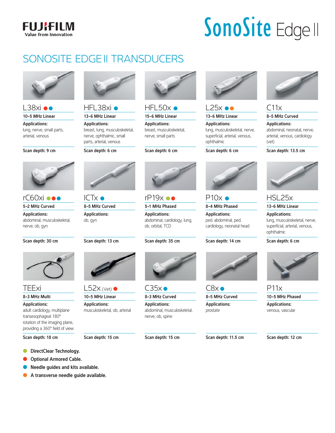### **FUJIFILM Value from Innovation**

# SonoSite Edge II

## SONOSITE EDGE II TRANSDUCERS



### $L38x$ i $\bullet\bullet$ 10-5 MHz Linear

Applications: lung, nerve, small parts,

arterial, venous

Scan depth: 9 cm

rC60xi ●●● 5-2 MHz Curved Applications:

nerve, ob, gyn

TEExi 8-3 MHz Multi Applications:

Scan depth: 30 cm

abdominal, musculoskeletal,



HFL38xi · 13-6 MHz Linear

Applications: breast, lung, musculoskeletal, nerve, ophthalmic, small parts, arterial, venous

Scan depth: 6 cm



 $HEL50x$ 

15-6 MHz Linear Applications: breast, musculoskeletal, nerve, small parts

Scan depth: 6 cm



 $L25x \bullet \bullet$ 13-6 MHz Linear

Applications: lung, musculoskeletal, nerve, superficial, arterial, venous, ophthalmic

Scan depth: 6 cm



 $C11x$ 8-5 MHz Curved

Applications: abdominal, neonatal, nerve, arterial, venous, cardiology (vet)

Scan depth: 13.5 cm



HSL25x

13-6 MHz Linear

Applications: lung, musculoskeletal, nerve, superficial, arterial, venous, ophthalmic

Scan depth: 6 cm



P11x

10-5 MHz Phased Applications: venous, vascular

Scan depth: 18 cm

**C** DirectClear Technology.

adult cardiology, multiplane transesophageal 180° rotation of the imaging plane, providing a 360° field of view

- **Optional Armored Cable.**
- l Needle guides and kits available.
- **A transverse needle guide available.**

ICTx  $\bullet$ 8-5 MHz Curved Applications: ob, gyn

Scan depth: 13 cm



 $L52x$  (Vet) 10-5 MHz Linear

Applications: musculoskeletal, ob, arterial

Scan depth: 15 cm

Scan depth: 15 cm



 $CSx$ 8-5 MHz Curved Applications: prostate

Scan depth: 11.5 cm





Applications: abdominal, cardiology, lung, ob, orbital, TCD

Scan depth: 35 cm





8-3 MHz Curved Applications:



 $C35x$ 

abdominal, musculoskeletal, nerve, ob, spine



Scan depth: 14 cm